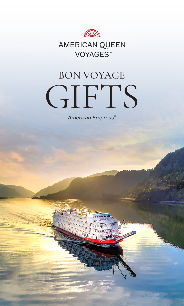

## AMERICAN QUEEN VOYAGES<sup>™</sup>

# BON VOYAGE GIFTS

*American Empress®*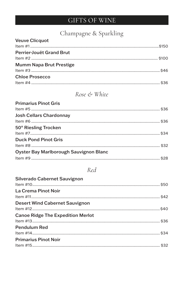## GIFTS OF WINE

## Champagne & Sparkling

| <b>Veuve Clicquot</b>           |  |
|---------------------------------|--|
|                                 |  |
| <b>Perrier-Jouët Grand Brut</b> |  |
|                                 |  |
| <b>Mumm Napa Brut Prestige</b>  |  |
|                                 |  |
| <b>Chloe Prosecco</b>           |  |
|                                 |  |

#### Rose & White

 $\overline{a}$ 

#### **Primarius Pinot Gris**  $\mu$  =

| <b>Josh Cellars Chardonnay</b>                |  |
|-----------------------------------------------|--|
|                                               |  |
| 50° Riesling Trocken                          |  |
|                                               |  |
| <b>Duck Pond Pinot Gris</b>                   |  |
|                                               |  |
| <b>Oyster Bay Marlborough Sauvignon Blanc</b> |  |
|                                               |  |
|                                               |  |

#### $Red$

| <b>Silverado Cabernet Sauvignon</b>      |  |
|------------------------------------------|--|
| La Crema Pinot Noir                      |  |
| <b>Desert Wind Cabernet Sauvignon</b>    |  |
| <b>Canoe Ridge The Expedition Merlot</b> |  |
| <b>Pendulum Red</b>                      |  |
| <b>Primarius Pinot Noir</b>              |  |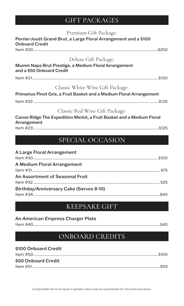## GIFT PACKAGES

| Premium Gift Package:                                                                     |
|-------------------------------------------------------------------------------------------|
| Perrier-Jouët Grand Brut, a Large Floral Arrangement and a \$100<br><b>Onboard Credit</b> |
|                                                                                           |
| Deluxe Gift Package:                                                                      |
| Mumm Napa Brut Prestige, a Medium Floral Arrangement<br>and a \$50 Onboard Credit         |
|                                                                                           |
| Classic White Wine Gift Package:                                                          |
| Primarius Pinot Gris, a Fruit Basket and a Medium Floral Arrangement                      |
|                                                                                           |
| Classic Red Wine Gift Package:                                                            |
| Canoe Ridge The Expedition Merlot, a Fruit Basket and a Medium Floral<br>Arrangement      |
|                                                                                           |
|                                                                                           |
| SPECIAL OCCASION                                                                          |
| A Large Floral Arrangement                                                                |

| A Large Floral Affair generic           |  |
|-----------------------------------------|--|
|                                         |  |
| A Medium Floral Arrangement             |  |
|                                         |  |
| An Assortment of Seasonal Fruit         |  |
|                                         |  |
| Birthday/Anniversary Cake (Serves 8-10) |  |
|                                         |  |
|                                         |  |

### KEEPSAKE GIFT

| An American Empress Charger Plate |  |
|-----------------------------------|--|
|                                   |  |

## ONBOARD CREDITS

| \$100 Onboard Credit |  |
|----------------------|--|
|                      |  |
| \$50 Onboard Credit  |  |
|                      |  |